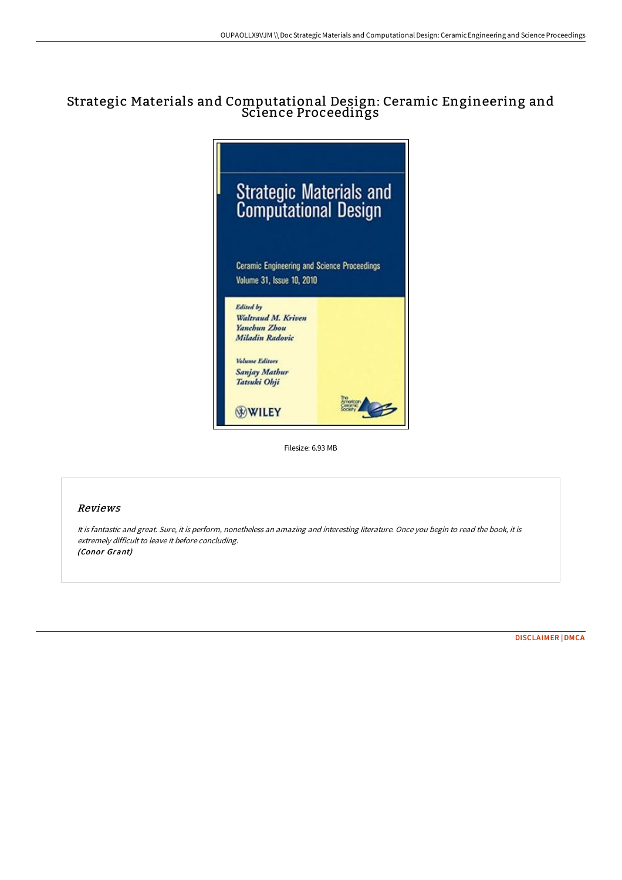## Strategic Materials and Computational Design: Ceramic Engineering and Science Proceedings



Filesize: 6.93 MB

## Reviews

It is fantastic and great. Sure, it is perform, nonetheless an amazing and interesting literature. Once you begin to read the book, it is extremely difficult to leave it before concluding. (Conor Grant)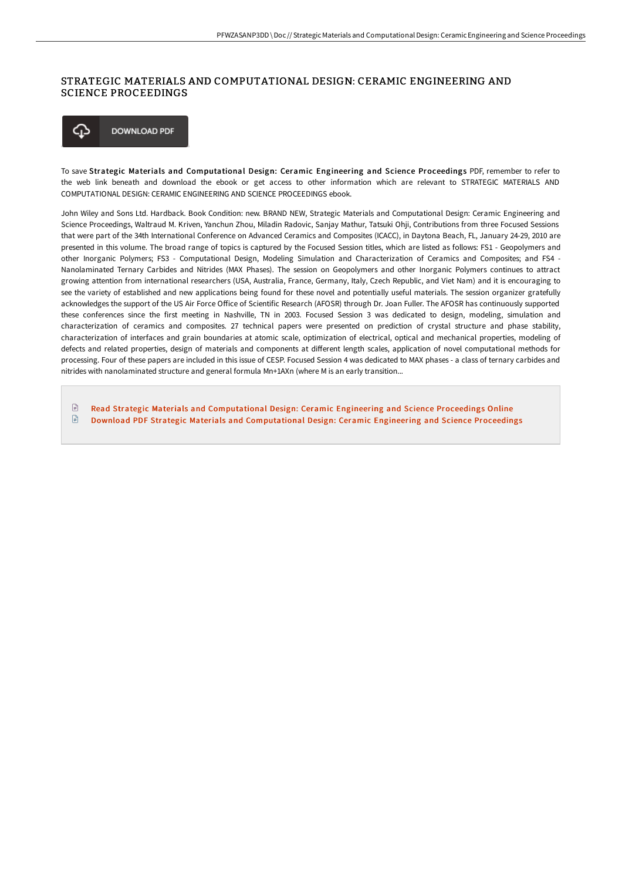## STRATEGIC MATERIALS AND COMPUTATIONAL DESIGN: CERAMIC ENGINEERING AND SCIENCE PROCEEDINGS



To save Strategic Materials and Computational Design: Ceramic Engineering and Science Proceedings PDF, remember to refer to the web link beneath and download the ebook or get access to other information which are relevant to STRATEGIC MATERIALS AND COMPUTATIONAL DESIGN: CERAMIC ENGINEERING AND SCIENCE PROCEEDINGS ebook.

John Wiley and Sons Ltd. Hardback. Book Condition: new. BRAND NEW, Strategic Materials and Computational Design: Ceramic Engineering and Science Proceedings, Waltraud M. Kriven, Yanchun Zhou, Miladin Radovic, Sanjay Mathur, Tatsuki Ohji, Contributions from three Focused Sessions that were part of the 34th International Conference on Advanced Ceramics and Composites (ICACC), in Daytona Beach, FL, January 24-29, 2010 are presented in this volume. The broad range of topics is captured by the Focused Session titles, which are listed as follows: FS1 - Geopolymers and other Inorganic Polymers; FS3 - Computational Design, Modeling Simulation and Characterization of Ceramics and Composites; and FS4 - Nanolaminated Ternary Carbides and Nitrides (MAX Phases). The session on Geopolymers and other Inorganic Polymers continues to attract growing attention from international researchers (USA, Australia, France, Germany, Italy, Czech Republic, and Viet Nam) and it is encouraging to see the variety of established and new applications being found for these novel and potentially useful materials. The session organizer gratefully acknowledges the support of the US Air Force Office of Scientific Research (AFOSR) through Dr. Joan Fuller. The AFOSR has continuously supported these conferences since the first meeting in Nashville, TN in 2003. Focused Session 3 was dedicated to design, modeling, simulation and characterization of ceramics and composites. 27 technical papers were presented on prediction of crystal structure and phase stability, characterization of interfaces and grain boundaries at atomic scale, optimization of electrical, optical and mechanical properties, modeling of defects and related properties, design of materials and components at different length scales, application of novel computational methods for processing. Four of these papers are included in this issue of CESP. Focused Session 4 was dedicated to MAX phases - a class of ternary carbides and nitrides with nanolaminated structure and general formula Mn+1AXn (where M is an early transition...

 $\mathbb{R}$ Read Strategic Materials and [Computational](http://www.bookdirs.com/strategic-materials-and-computational-design-cer.html) Design: Ceramic Engineering and Science Proceedings Online  $\mathbb{P}$ Download PDF Strategic Materials and [Computational](http://www.bookdirs.com/strategic-materials-and-computational-design-cer.html) Design: Ceramic Engineering and Science Proceedings